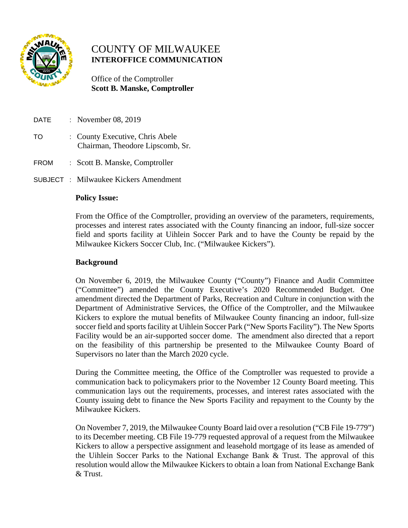

# COUNTY OF MILWAUKEE  **INTEROFFICE COMMUNICATION**

 Office of the Comptroller  **Scott B. Manske, Comptroller**

- DATE : November 08, 2019 TO : County Executive, Chris Abele Chairman, Theodore Lipscomb, Sr.
- FROM : Scott B. Manske, Comptroller
- SUBJECT : Milwaukee Kickers Amendment

## **Policy Issue:**

From the Office of the Comptroller, providing an overview of the parameters, requirements, processes and interest rates associated with the County financing an indoor, full-size soccer field and sports facility at Uihlein Soccer Park and to have the County be repaid by the Milwaukee Kickers Soccer Club, Inc. ("Milwaukee Kickers").

## **Background**

On November 6, 2019, the Milwaukee County ("County") Finance and Audit Committee ("Committee") amended the County Executive's 2020 Recommended Budget. One amendment directed the Department of Parks, Recreation and Culture in conjunction with the Department of Administrative Services, the Office of the Comptroller, and the Milwaukee Kickers to explore the mutual benefits of Milwaukee County financing an indoor, full-size soccer field and sports facility at Uihlein Soccer Park ("New Sports Facility"). The New Sports Facility would be an air-supported soccer dome. The amendment also directed that a report on the feasibility of this partnership be presented to the Milwaukee County Board of Supervisors no later than the March 2020 cycle.

During the Committee meeting, the Office of the Comptroller was requested to provide a communication back to policymakers prior to the November 12 County Board meeting. This communication lays out the requirements, processes, and interest rates associated with the County issuing debt to finance the New Sports Facility and repayment to the County by the Milwaukee Kickers.

On November 7, 2019, the Milwaukee County Board laid over a resolution ("CB File 19-779") to its December meeting. CB File 19-779 requested approval of a request from the Milwaukee Kickers to allow a perspective assignment and leasehold mortgage of its lease as amended of the Uihlein Soccer Parks to the National Exchange Bank & Trust. The approval of this resolution would allow the Milwaukee Kickers to obtain a loan from National Exchange Bank & Trust.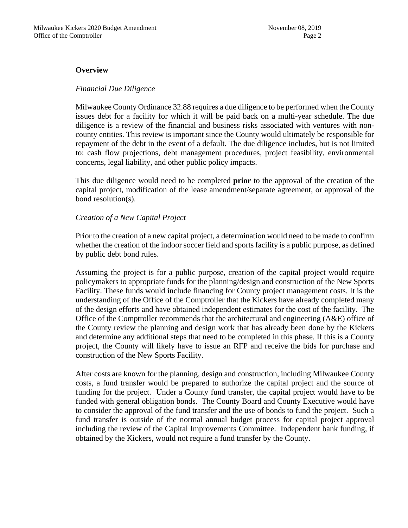#### **Overview**

#### *Financial Due Diligence*

Milwaukee County Ordinance 32.88 requires a due diligence to be performed when the County issues debt for a facility for which it will be paid back on a multi-year schedule. The due diligence is a review of the financial and business risks associated with ventures with noncounty entities. This review is important since the County would ultimately be responsible for repayment of the debt in the event of a default. The due diligence includes, but is not limited to: cash flow projections, debt management procedures, project feasibility, environmental concerns, legal liability, and other public policy impacts.

This due diligence would need to be completed **prior** to the approval of the creation of the capital project, modification of the lease amendment/separate agreement, or approval of the bond resolution(s).

## *Creation of a New Capital Project*

Prior to the creation of a new capital project, a determination would need to be made to confirm whether the creation of the indoor soccer field and sports facility is a public purpose, as defined by public debt bond rules.

Assuming the project is for a public purpose, creation of the capital project would require policymakers to appropriate funds for the planning/design and construction of the New Sports Facility. These funds would include financing for County project management costs. It is the understanding of the Office of the Comptroller that the Kickers have already completed many of the design efforts and have obtained independent estimates for the cost of the facility. The Office of the Comptroller recommends that the architectural and engineering (A&E) office of the County review the planning and design work that has already been done by the Kickers and determine any additional steps that need to be completed in this phase. If this is a County project, the County will likely have to issue an RFP and receive the bids for purchase and construction of the New Sports Facility.

After costs are known for the planning, design and construction, including Milwaukee County costs, a fund transfer would be prepared to authorize the capital project and the source of funding for the project. Under a County fund transfer, the capital project would have to be funded with general obligation bonds. The County Board and County Executive would have to consider the approval of the fund transfer and the use of bonds to fund the project. Such a fund transfer is outside of the normal annual budget process for capital project approval including the review of the Capital Improvements Committee. Independent bank funding, if obtained by the Kickers, would not require a fund transfer by the County.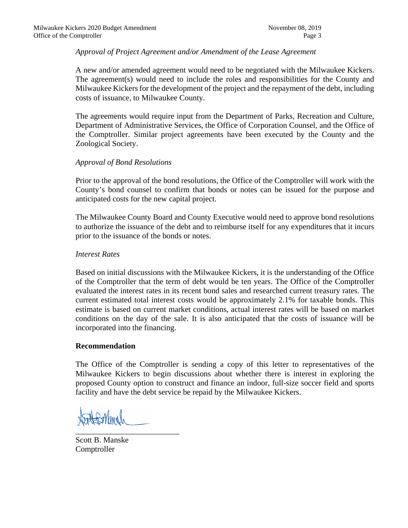# *Approval of Project Agreement and/or Amendment of the Lease Agreement*

A new and/or amended agreement would need to be negotiated with the Milwaukee Kickers. The agreement(s) would need to include the roles and responsibilities for the County and Milwaukee Kickers for the development of the project and the repayment of the debt, including costs of issuance, to Milwaukee County.

The agreements would require input from the Department of Parks, Recreation and Culture, Department of Administrative Services, the Office of Corporation Counsel, and the Office of the Comptroller. Similar project agreements have been executed by the County and the Zoological Society.

# *Approval of Bond Resolutions*

Prior to the approval of the bond resolutions, the Office of the Comptroller will work with the County's bond counsel to confirm that bonds or notes can be issued for the purpose and anticipated costs for the new capital project.

The Milwaukee County Board and County Executive would need to approve bond resolutions to authorize the issuance of the debt and to reimburse itself for any expenditures that it incurs prior to the issuance of the bonds or notes.

## *Interest Rates*

Based on initial discussions with the Milwaukee Kickers, it is the understanding of the Office of the Comptroller that the term of debt would be ten years. The Office of the Comptroller evaluated the interest rates in its recent bond sales and researched current treasury rates. The current estimated total interest costs would be approximately 2.1% for taxable bonds. This estimate is based on current market conditions, actual interest rates will be based on market conditions on the day of the sale. It is also anticipated that the costs of issuance will be incorporated into the financing.

## **Recommendation**

The Office of the Comptroller is sending a copy of this letter to representatives of the Milwaukee Kickers to begin discussions about whether there is interest in exploring the proposed County option to construct and finance an indoor, full-size soccer field and sports facility and have the debt service be repaid by the Milwaukee Kickers.

\_\_\_\_\_\_\_\_\_\_\_\_\_\_\_\_\_\_\_\_\_\_\_\_\_\_

Scott B. Manske Comptroller